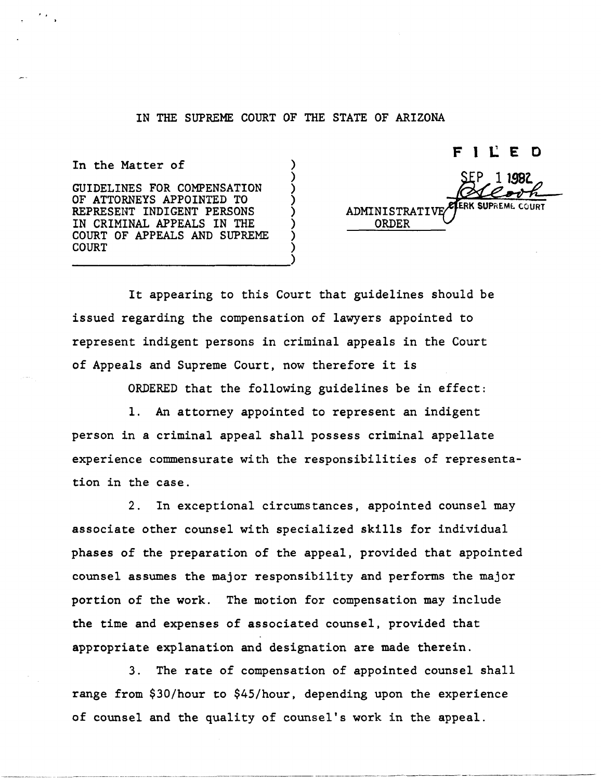## IN THE SUPREME COURT OF THE STATE OF ARIZONA

) ) ) ) ) ) ) )

In the Matter of

· .

GUIDELINES FOR COMPENSATION OF ATTORNEYS APPOINTED TO REPRESENT INDIGENT PERSONS IN CRIMINAL APPEALS IN THE COURT OF APPEALS AND SUPREME COURT -------------------------)

FILED 1 1982 **COURT** ADMINISTRATI ORDER

It appearing to this Court that guidelines should be issued regarding the compensation of lawyers appointed to represent indigent persons in criminal appeals in the Court of Appeals and Supreme Court, now therefore it is

ORDERED that the following guidelines be in effect:

1. An attorney appointed to represent an indigent person in a criminal appeal shall possess criminal appellate experience commensurate with the responsibilities of representation in the case.

2. In exceptional circumstances, appointed counsel may associate other counsel with specialized skills for individual phases of the preparation of the appeal, provided that appointed counsel assumes the major responsibility and performs the major portion of the work. The motion for compensation may include the time and expenses of associated counsel, provided that appropriate explanation and designation are made therein.

3. The rate of compensation of appointed counsel shall range from \$30/hour to \$45/hour, depending upon the experience of counsel and the quality of counsel's work in the appeal.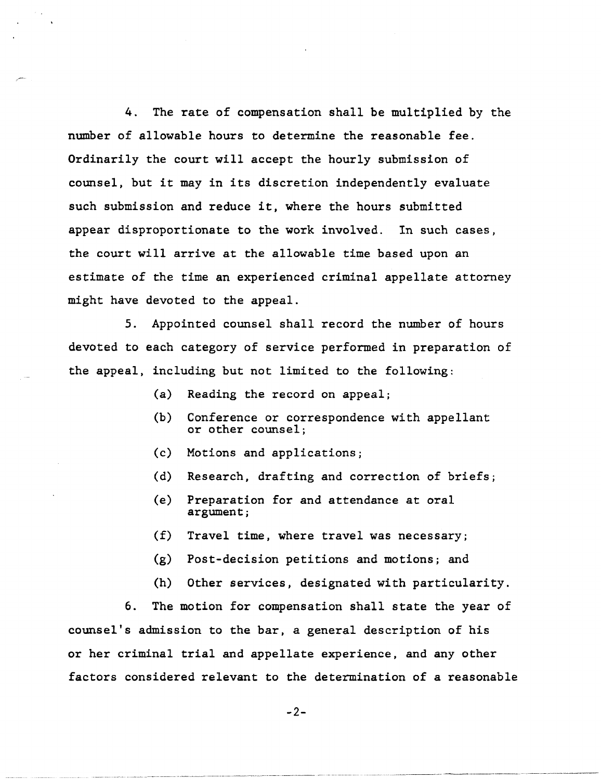4. The rate of compensation shall be multiplied by the number of allowable hours to determine the reasonable fee. Ordinarily the court will accept the hourly submission of counsel, but it may in its discretion independently evaluate such submission and reduce it, where the hours submitted appear disproportionate to the work involved. In such cases, the court will arrive at the allowable time based upon an estimate of the time an experienced criminal appellate attorney might have devoted to the appeal.

5. Appointed counsel shall record the number of hours devoted to each category of service performed in preparation of the appeal, including but not limited to the following:

- (a) Reading the record on appeal;
- (b) Conference or correspondence with appellant or other counsel;
- (c) Motions and applications;
- (d) Research, drafting and correction of briefs;
- (e) Preparation for and attendance at oral argument;
- (f) Travel time, where travel was necessary;
- (g) Post-decision petitions and motions; and
- (h) Other services, designated with particularity.

---- ----\_. - ----- -------\_.\_-- . \_\_ .\_----\_.\_-\_.\_-- \_.\_- ------------\_.- \_.- --- -----------\_.\_.\_--------- ---------- --\_.\_-----\_.\_--

6. The motion for compensation shall state the year of counsel's admission to the bar, a general description of his or her criminal trial and appellate experience, and any other factors considered relevant to the determination of a reasonable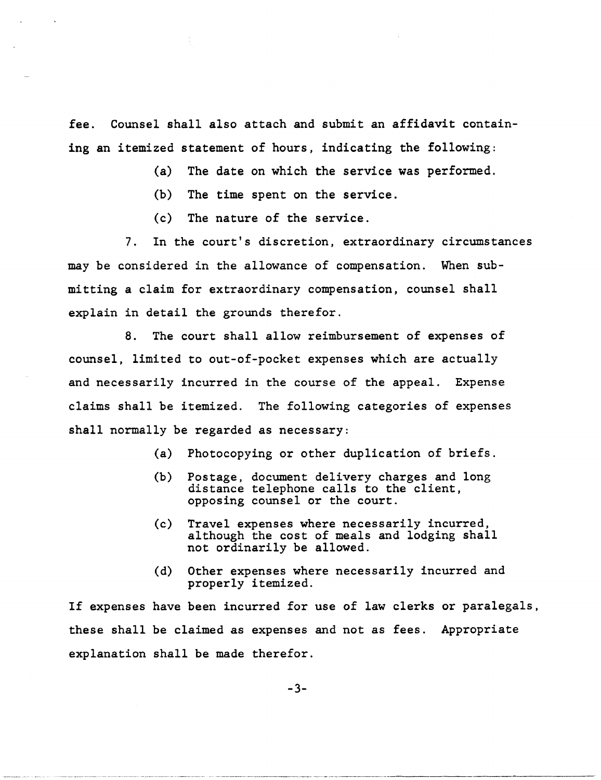fee. Counsel shall also attach and submit an affidavit containing an itemized statement of hours, indicating the following:

(a) The date on which the service was performed.

(b) The time spent on the service.

(c) The nature of the service.

7. In the court's discretion, extraordinary circumstances may be considered in the allowance of compensation. When submitting a claim for extraordinary compensation, counsel shall explain in detail the grounds therefor.

8. The court shall allow reimbursement of expenses of counsel, limited to out-of-pocket expenses which are actually and necessarily incurred in the course of the appeal. Expense claims shall be itemized. The following categories of expenses shall normally be regarded as necessary:

- (a) Photocopying or other duplication of briefs.
- (b) Postage, document delivery charges and long distance telephone calls to the client, opposing counsel or the court.
- (c) Travel expenses where necessarily incurred, although the cost of meals and lodging shall not ordinarily be allowed.
- (d) Other expenses where necessarily incurred and properly itemized.

If expenses have been incurred for use of law clerks or paralegals, these shall be claimed as expenses and not as fees. Appropriate explanation shall be made therefor.

-3-